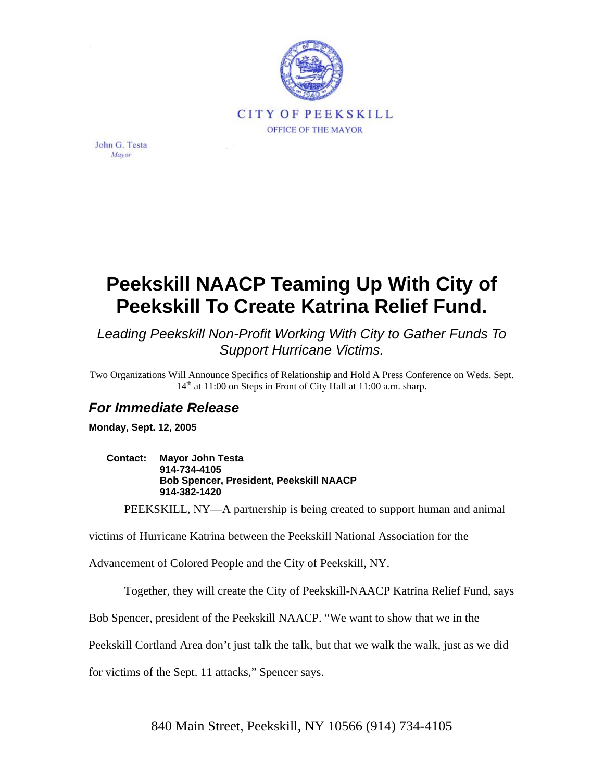

John G. Testa Mavor

## **Peekskill NAACP Teaming Up With City of Peekskill To Create Katrina Relief Fund.**

*Leading Peekskill Non-Profit Working With City to Gather Funds To Support Hurricane Victims.* 

Two Organizations Will Announce Specifics of Relationship and Hold A Press Conference on Weds. Sept.  $14<sup>th</sup>$  at 11:00 on Steps in Front of City Hall at 11:00 a.m. sharp.

## *For Immediate Release*

**Monday, Sept. 12, 2005** 

**Contact: Mayor John Testa 914-734-4105 Bob Spencer, President, Peekskill NAACP 914-382-1420** 

PEEKSKILL, NY—A partnership is being created to support human and animal

victims of Hurricane Katrina between the Peekskill National Association for the

Advancement of Colored People and the City of Peekskill, NY.

Together, they will create the City of Peekskill-NAACP Katrina Relief Fund, says

Bob Spencer, president of the Peekskill NAACP. "We want to show that we in the

Peekskill Cortland Area don't just talk the talk, but that we walk the walk, just as we did

for victims of the Sept. 11 attacks," Spencer says.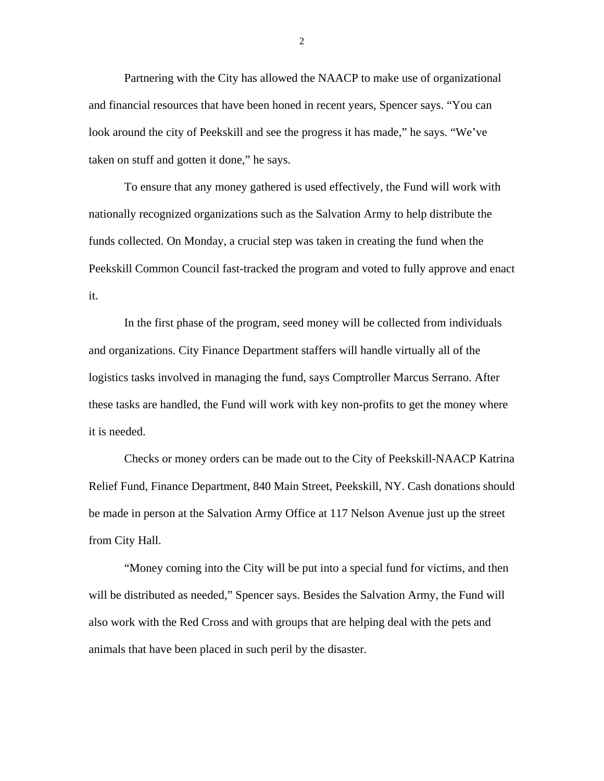Partnering with the City has allowed the NAACP to make use of organizational and financial resources that have been honed in recent years, Spencer says. "You can look around the city of Peekskill and see the progress it has made," he says. "We've taken on stuff and gotten it done," he says.

To ensure that any money gathered is used effectively, the Fund will work with nationally recognized organizations such as the Salvation Army to help distribute the funds collected. On Monday, a crucial step was taken in creating the fund when the Peekskill Common Council fast-tracked the program and voted to fully approve and enact it.

In the first phase of the program, seed money will be collected from individuals and organizations. City Finance Department staffers will handle virtually all of the logistics tasks involved in managing the fund, says Comptroller Marcus Serrano. After these tasks are handled, the Fund will work with key non-profits to get the money where it is needed.

Checks or money orders can be made out to the City of Peekskill-NAACP Katrina Relief Fund, Finance Department, 840 Main Street, Peekskill, NY. Cash donations should be made in person at the Salvation Army Office at 117 Nelson Avenue just up the street from City Hall.

"Money coming into the City will be put into a special fund for victims, and then will be distributed as needed," Spencer says. Besides the Salvation Army, the Fund will also work with the Red Cross and with groups that are helping deal with the pets and animals that have been placed in such peril by the disaster.

2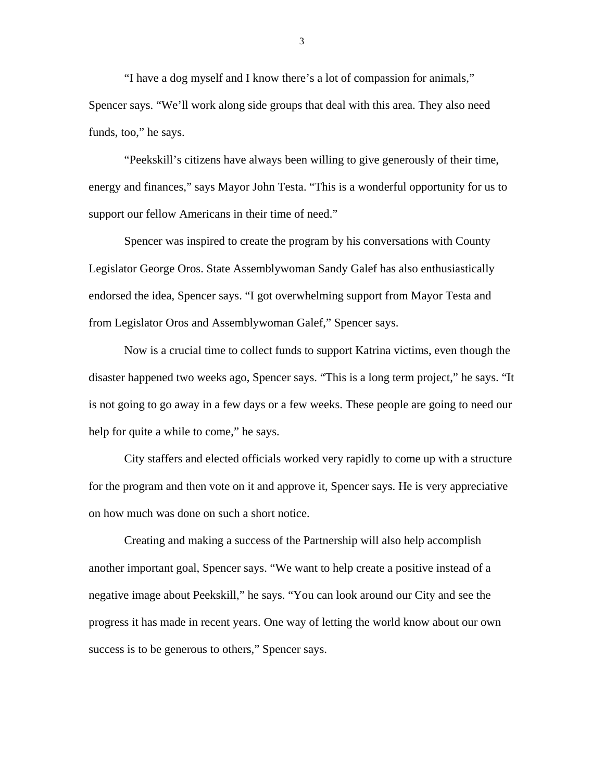"I have a dog myself and I know there's a lot of compassion for animals," Spencer says. "We'll work along side groups that deal with this area. They also need funds, too," he says.

"Peekskill's citizens have always been willing to give generously of their time, energy and finances," says Mayor John Testa. "This is a wonderful opportunity for us to support our fellow Americans in their time of need."

Spencer was inspired to create the program by his conversations with County Legislator George Oros. State Assemblywoman Sandy Galef has also enthusiastically endorsed the idea, Spencer says. "I got overwhelming support from Mayor Testa and from Legislator Oros and Assemblywoman Galef," Spencer says.

Now is a crucial time to collect funds to support Katrina victims, even though the disaster happened two weeks ago, Spencer says. "This is a long term project," he says. "It is not going to go away in a few days or a few weeks. These people are going to need our help for quite a while to come," he says.

City staffers and elected officials worked very rapidly to come up with a structure for the program and then vote on it and approve it, Spencer says. He is very appreciative on how much was done on such a short notice.

Creating and making a success of the Partnership will also help accomplish another important goal, Spencer says. "We want to help create a positive instead of a negative image about Peekskill," he says. "You can look around our City and see the progress it has made in recent years. One way of letting the world know about our own success is to be generous to others," Spencer says.

3